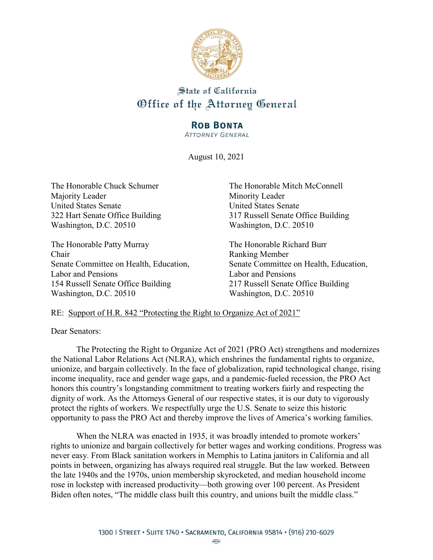

## State of California Office of the Attorney General

## **ROB BONTA**

**ATTORNEY GENERAL** 

August 10, 2021

Majority Leader Minority Leader United States Senate United States Senate Washington, D.C. 20510 Washington, D.C. 20510

The Honorable Patty Murray The Honorable Richard Burr Chair Ranking Member Labor and Pensions Labor and Pensions 154 Russell Senate Office Building 217 Russell Senate Office Building Washington, D.C. 20510 Washington, D.C. 20510

The Honorable Chuck Schumer The Honorable Mitch McConnell 322 Hart Senate Office Building 317 Russell Senate Office Building

Senate Committee on Health, Education, Senate Committee on Health, Education,

## RE: Support of H.R. 842 "Protecting the Right to Organize Act of 2021"

Dear Senators:

The Protecting the Right to Organize Act of 2021 (PRO Act) strengthens and modernizes the National Labor Relations Act (NLRA), which enshrines the fundamental rights to organize, unionize, and bargain collectively. In the face of globalization, rapid technological change, rising income inequality, race and gender wage gaps, and a pandemic-fueled recession, the PRO Act honors this country's longstanding commitment to treating workers fairly and respecting the dignity of work. As the Attorneys General of our respective states, it is our duty to vigorously protect the rights of workers. We respectfully urge the U.S. Senate to seize this historic opportunity to pass the PRO Act and thereby improve the lives of America's working families.

When the NLRA was enacted in 1935, it was broadly intended to promote workers' rights to unionize and bargain collectively for better wages and working conditions. Progress was never easy. From Black sanitation workers in Memphis to Latina janitors in California and all points in between, organizing has always required real struggle. But the law worked. Between the late 1940s and the 1970s, union membership skyrocketed, and median household income rose in lockstep with increased productivity—both growing over 100 percent. As President Biden often notes, "The middle class built this country, and unions built the middle class."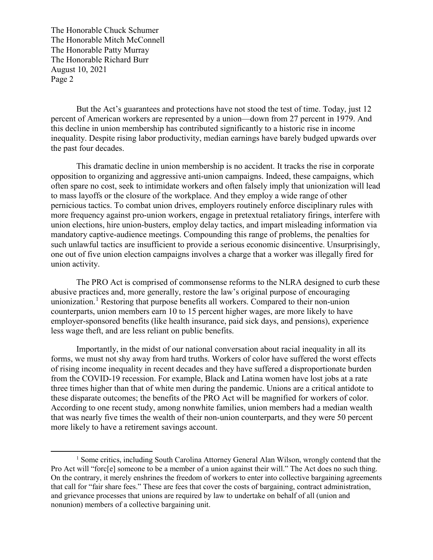The Honorable Chuck Schumer The Honorable Mitch McConnell The Honorable Patty Murray The Honorable Richard Burr August 10, 2021 Page 2

 $\overline{a}$ 

But the Act's guarantees and protections have not stood the test of time. Today, just 12 percent of American workers are represented by a union—down from 27 percent in 1979. And this decline in union membership has contributed significantly to a historic rise in income inequality. Despite rising labor productivity, median earnings have barely budged upwards over the past four decades.

This dramatic decline in union membership is no accident. It tracks the rise in corporate opposition to organizing and aggressive anti-union campaigns. Indeed, these campaigns, which often spare no cost, seek to intimidate workers and often falsely imply that unionization will lead to mass layoffs or the closure of the workplace. And they employ a wide range of other pernicious tactics. To combat union drives, employers routinely enforce disciplinary rules with more frequency against pro-union workers, engage in pretextual retaliatory firings, interfere with union elections, hire union-busters, employ delay tactics, and impart misleading information via mandatory captive-audience meetings. Compounding this range of problems, the penalties for such unlawful tactics are insufficient to provide a serious economic disincentive. Unsurprisingly, one out of five union election campaigns involves a charge that a worker was illegally fired for union activity.

The PRO Act is comprised of commonsense reforms to the NLRA designed to curb these abusive practices and, more generally, restore the law's original purpose of encouraging unionization.<sup>[1](#page-1-0)</sup> Restoring that purpose benefits all workers. Compared to their non-union counterparts, union members earn 10 to 15 percent higher wages, are more likely to have employer-sponsored benefits (like health insurance, paid sick days, and pensions), experience less wage theft, and are less reliant on public benefits.

Importantly, in the midst of our national conversation about racial inequality in all its forms, we must not shy away from hard truths. Workers of color have suffered the worst effects of rising income inequality in recent decades and they have suffered a disproportionate burden from the COVID-19 recession. For example, Black and Latina women have lost jobs at a rate three times higher than that of white men during the pandemic. Unions are a critical antidote to these disparate outcomes; the benefits of the PRO Act will be magnified for workers of color. According to one recent study, among nonwhite families, union members had a median wealth that was nearly five times the wealth of their non-union counterparts, and they were 50 percent more likely to have a retirement savings account.

<span id="page-1-0"></span><sup>&</sup>lt;sup>1</sup> Some critics, including South Carolina Attorney General Alan Wilson, wrongly contend that the Pro Act will "forc[e] someone to be a member of a union against their will." The Act does no such thing. On the contrary, it merely enshrines the freedom of workers to enter into collective bargaining agreements that call for "fair share fees." These are fees that cover the costs of bargaining, contract administration, and grievance processes that unions are required by law to undertake on behalf of all (union and nonunion) members of a collective bargaining unit.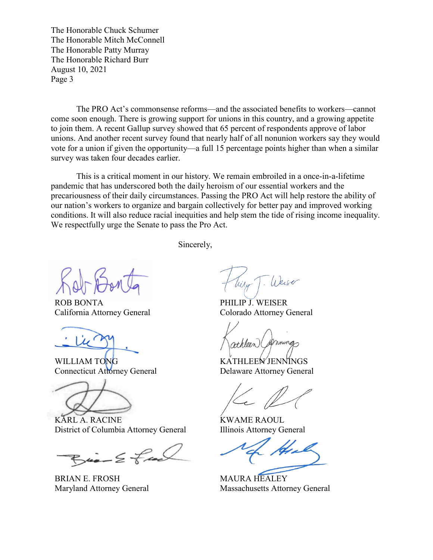The Honorable Chuck Schumer The Honorable Mitch McConnell The Honorable Patty Murray The Honorable Richard Burr August 10, 2021 Page 3

The PRO Act's commonsense reforms—and the associated benefits to workers—cannot come soon enough. There is growing support for unions in this country, and a growing appetite to join them. A recent Gallup survey showed that 65 percent of respondents approve of labor unions. And another recent survey found that nearly half of all nonunion workers say they would vote for a union if given the opportunity—a full 15 percentage points higher than when a similar survey was taken four decades earlier.

This is a critical moment in our history. We remain embroiled in a once-in-a-lifetime pandemic that has underscored both the daily heroism of our essential workers and the precariousness of their daily circumstances. Passing the PRO Act will help restore the ability of our nation's workers to organize and bargain collectively for better pay and improved working conditions. It will also reduce racial inequities and help stem the tide of rising income inequality. We respectfully urge the Senate to pass the Pro Act.

Sincerely,

ROB BONTA California Attorney General

WILLIAM TONG Connecticut Attorney General

KARL A. RACINE District of Columbia Attorney General

 $Bia - E$  final

BRIAN E. FROSH Maryland Attorney General

PHILIP J. WEISER Colorado Attorney General

nneng

KATHLEEN JENNINGS Delaware Attorney General

KWAME RAOUL Illinois Attorney General

MAURA HEALEY Massachusetts Attorney General